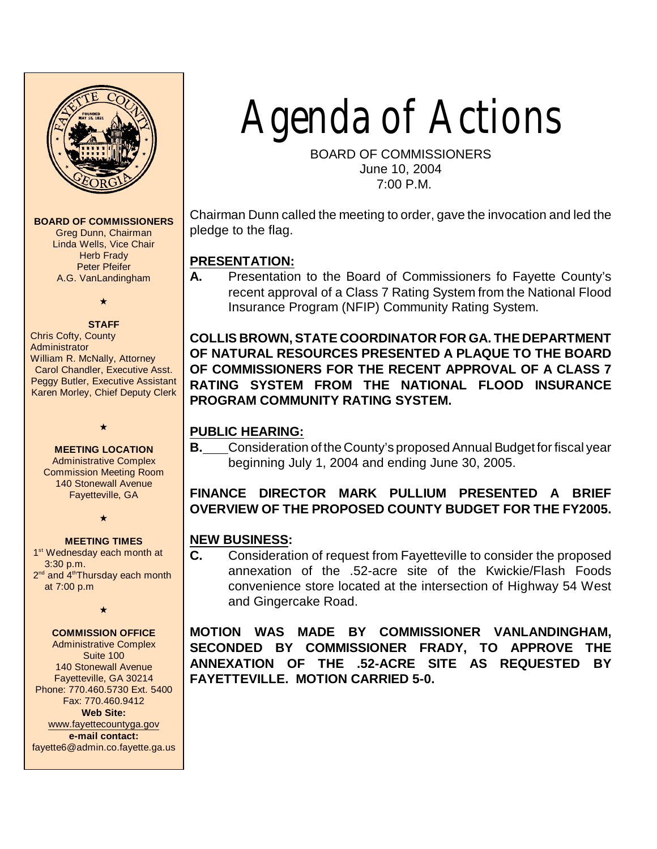

**BOARD OF COMMISSIONERS**

Greg Dunn, Chairman Linda Wells, Vice Chair Herb Frady Peter Pfeifer A.G. VanLandingham

# $\bullet$

**STAFF** Chris Cofty, County **Administrator** William R. McNally, Attorney Carol Chandler, Executive Asst. Peggy Butler, Executive Assistant Karen Morley, Chief Deputy Clerk

#### **MEETING LOCATION**

 $\star$ 

Administrative Complex Commission Meeting Room 140 Stonewall Avenue Fayetteville, GA

 $\star$ 

#### **MEETING TIMES**

1<sup>st</sup> Wednesday each month at 3:30 p.m. 2<sup>nd</sup> and 4<sup>th</sup>Thursday each month at 7:00 p.m

 $\star$ 

### **COMMISSION OFFICE**

Administrative Complex Suite 100 140 Stonewall Avenue Fayetteville, GA 30214 Phone: 770.460.5730 Ext. 5400 Fax: 770.460.9412 **Web Site:** [www.fayettecountyga.gov](http://www.admin.co.fayette.ga.us) **e-mail contact:** fayette6@admin.co.fayette.ga.us Agenda of Actions

BOARD OF COMMISSIONERS June 10, 2004 7:00 P.M.

Chairman Dunn called the meeting to order, gave the invocation and led the pledge to the flag.

# **PRESENTATION:**

**A.** Presentation to the Board of Commissioners fo Fayette County's recent approval of a Class 7 Rating System from the National Flood Insurance Program (NFIP) Community Rating System.

**COLLIS BROWN, STATE COORDINATOR FOR GA. THE DEPARTMENT OF NATURAL RESOURCES PRESENTED A PLAQUE TO THE BOARD OF COMMISSIONERS FOR THE RECENT APPROVAL OF A CLASS 7 RATING SYSTEM FROM THE NATIONAL FLOOD INSURANCE PROGRAM COMMUNITY RATING SYSTEM.**

# **PUBLIC HEARING:**

**B.** Consideration of the County's proposed Annual Budget for fiscal year beginning July 1, 2004 and ending June 30, 2005.

# **FINANCE DIRECTOR MARK PULLIUM PRESENTED A BRIEF OVERVIEW OF THE PROPOSED COUNTY BUDGET FOR THE FY2005.**

# **NEW BUSINESS:**

**C.** Consideration of request from Fayetteville to consider the proposed annexation of the .52-acre site of the Kwickie/Flash Foods convenience store located at the intersection of Highway 54 West and Gingercake Road.

**MOTION WAS MADE BY COMMISSIONER VANLANDINGHAM, SECONDED BY COMMISSIONER FRADY, TO APPROVE THE ANNEXATION OF THE .52-ACRE SITE AS REQUESTED BY FAYETTEVILLE. MOTION CARRIED 5-0.**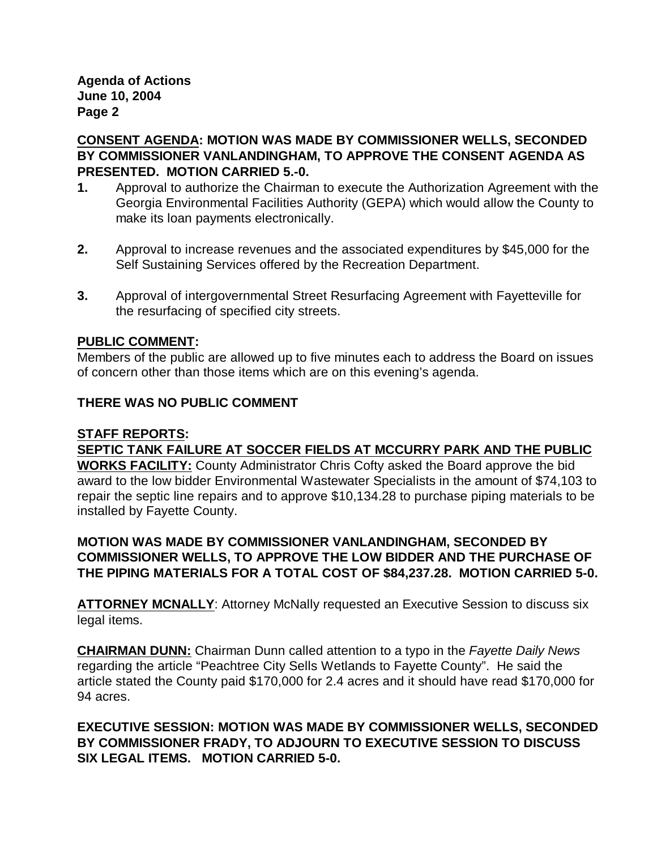**Agenda of Actions June 10, 2004 Page 2**

**CONSENT AGENDA: MOTION WAS MADE BY COMMISSIONER WELLS, SECONDED BY COMMISSIONER VANLANDINGHAM, TO APPROVE THE CONSENT AGENDA AS PRESENTED. MOTION CARRIED 5.-0.**

- **1.** Approval to authorize the Chairman to execute the Authorization Agreement with the Georgia Environmental Facilities Authority (GEPA) which would allow the County to make its loan payments electronically.
- **2.** Approval to increase revenues and the associated expenditures by \$45,000 for the Self Sustaining Services offered by the Recreation Department.
- **3.** Approval of intergovernmental Street Resurfacing Agreement with Fayetteville for the resurfacing of specified city streets.

#### **PUBLIC COMMENT:**

Members of the public are allowed up to five minutes each to address the Board on issues of concern other than those items which are on this evening's agenda.

#### **THERE WAS NO PUBLIC COMMENT**

#### **STAFF REPORTS:**

**SEPTIC TANK FAILURE AT SOCCER FIELDS AT MCCURRY PARK AND THE PUBLIC WORKS FACILITY:** County Administrator Chris Cofty asked the Board approve the bid award to the low bidder Environmental Wastewater Specialists in the amount of \$74,103 to repair the septic line repairs and to approve \$10,134.28 to purchase piping materials to be installed by Fayette County.

**MOTION WAS MADE BY COMMISSIONER VANLANDINGHAM, SECONDED BY COMMISSIONER WELLS, TO APPROVE THE LOW BIDDER AND THE PURCHASE OF THE PIPING MATERIALS FOR A TOTAL COST OF \$84,237.28. MOTION CARRIED 5-0.**

**ATTORNEY MCNALLY**: Attorney McNally requested an Executive Session to discuss six legal items.

**CHAIRMAN DUNN:** Chairman Dunn called attention to a typo in the *Fayette Daily News* regarding the article "Peachtree City Sells Wetlands to Fayette County". He said the article stated the County paid \$170,000 for 2.4 acres and it should have read \$170,000 for 94 acres.

**EXECUTIVE SESSION: MOTION WAS MADE BY COMMISSIONER WELLS, SECONDED BY COMMISSIONER FRADY, TO ADJOURN TO EXECUTIVE SESSION TO DISCUSS SIX LEGAL ITEMS. MOTION CARRIED 5-0.**